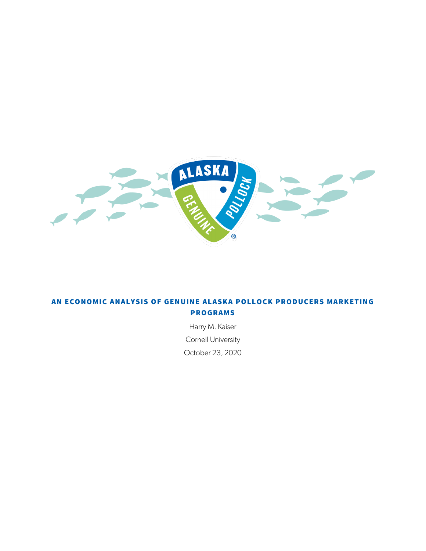

# AN ECONOMIC ANALYSIS OF GENUINE ALASKA POLLOCK PRODUCERS MARKETING PROGRAMS

Harry M. Kaiser Cornell University

October 23, 2020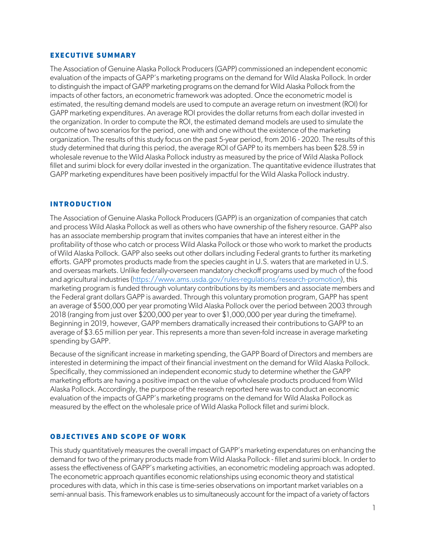### EXECUTIVE SUMMARY

The Association of Genuine Alaska Pollock Producers (GAPP) commissioned an independent economic evaluation of the impacts of GAPP's marketing programs on the demand for Wild Alaska Pollock. In order to distinguish the impact of GAPP marketing programs on the demand for Wild Alaska Pollock from the impacts of other factors, an econometric framework was adopted. Once the econometric model is estimated, the resulting demand models are used to compute an average return on investment (ROI) for GAPP marketing expenditures. An average ROI provides the dollar returns from each dollar invested in the organization. In order to compute the ROI, the estimated demand models are used to simulate the outcome of two scenarios for the period, one with and one without the existence of the marketing organization. The results of this study focus on the past 5-year period, from 2016 - 2020. The results of this study determined that during this period, the average ROI of GAPP to its members has been \$28.59 in wholesale revenue to the Wild Alaska Pollock industry as measured by the price of Wild Alaska Pollock fillet and surimi block for every dollar invested in the organization. The quantitative evidence illustrates that GAPP marketing expenditures have been positively impactful for the Wild Alaska Pollock industry.

### INTRODUCTION

The Association of Genuine Alaska Pollock Producers (GAPP) is an organization of companies that catch and process Wild Alaska Pollock as well as others who have ownership of the fishery resource. GAPP also has an associate membership program that invites companies that have an interest either in the profitability of those who catch or process Wild Alaska Pollock or those who work to market the products of Wild Alaska Pollock. GAPP also seeks out other dollars including Federal grants to further its marketing efforts. GAPP promotes products made from the species caught in U.S. waters that are marketed in U.S. and overseas markets. Unlike federally-overseen mandatory checkoff programs used by much of the food and agricultural industries [\(https://www.ams.usda.gov/rules-regulations/research-promotion\)](https://www.ams.usda.gov/rules-regulations/research-promotion), this marketing program is funded through voluntary contributions by its members and associate members and the Federal grant dollars GAPP is awarded. Through this voluntary promotion program, GAPP has spent an average of \$500,000 per year promoting Wild Alaska Pollock over the period between 2003 through 2018 (ranging from just over \$200,000 per year to over \$1,000,000 per year during the timeframe). Beginning in 2019, however, GAPP members dramatically increased their contributions to GAPP to an average of \$3.65 million per year. This represents a more than seven-fold increase in average marketing spending by GAPP.

Because of the significant increase in marketing spending, the GAPP Board of Directors and members are interested in determining the impact of their financial investment on the demand for Wild Alaska Pollock. Specifically, they commissioned an independent economic study to determine whether the GAPP marketing efforts are having a positive impact on the value of wholesale products produced from Wild Alaska Pollock. Accordingly, the purpose of the research reported here was to conduct an economic evaluation of the impacts of GAPP's marketing programs on the demand for Wild Alaska Pollock as measured by the effect on the wholesale price of Wild Alaska Pollock fillet and surimi block.

#### OBJECTIVES AND SCOPE OF WORK

This study quantitatively measures the overall impact of GAPP's marketing expendatures on enhancing the demand for two of the primary products made from Wild Alaska Pollock - fillet and surimi block. In order to assess the effectiveness of GAPP's marketing activities, an econometric modeling approach was adopted. The econometric approach quantifies economic relationships using economic theory and statistical procedures with data, which in this case is time-series observations on important market variables on a semi-annual basis. This framework enables us to simultaneously account for the impact of a variety of factors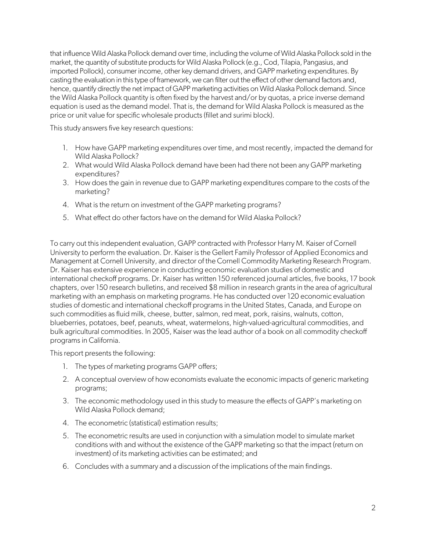that influence Wild Alaska Pollock demand over time, including the volume of Wild Alaska Pollock sold in the market, the quantity of substitute products for Wild Alaska Pollock (e.g., Cod, Tilapia, Pangasius, and imported Pollock), consumer income, other key demand drivers, and GAPP marketing expenditures. By casting the evaluation in this type of framework, we can filter out the effect of other demand factors and, hence, quantify directly the net impact of GAPP marketing activities on Wild Alaska Pollock demand. Since the Wild Alaska Pollock quantity is often fixed by the harvest and/or by quotas, a price inverse demand equation is used as the demand model. That is, the demand for Wild Alaska Pollock is measured as the price or unit value for specific wholesale products (fillet and surimi block).

This study answers five key research questions:

- 1. How have GAPP marketing expenditures over time, and most recently, impacted the demand for Wild Alaska Pollock?
- 2. What would Wild Alaska Pollock demand have been had there not been any GAPP marketing expenditures?
- 3. How does the gain in revenue due to GAPP marketing expenditures compare to the costs of the marketing?
- 4. What is the return on investment of the GAPP marketing programs?
- 5. What effect do other factors have on the demand for Wild Alaska Pollock?

To carry out this independent evaluation, GAPP contracted with Professor Harry M. Kaiser of Cornell University to perform the evaluation. Dr. Kaiser is the Gellert Family Professor of Applied Economics and Management at Cornell University, and director of the Cornell Commodity Marketing Research Program. Dr. Kaiser has extensive experience in conducting economic evaluation studies of domestic and international checkoff programs. Dr. Kaiser has written 150 referenced journal articles, five books, 17 book chapters, over 150 research bulletins, and received \$8 million in research grants in the area of agricultural marketing with an emphasis on marketing programs. He has conducted over 120 economic evaluation studies of domestic and international checkoff programs in the United States, Canada, and Europe on such commodities as fluid milk, cheese, butter, salmon, red meat, pork, raisins, walnuts, cotton, blueberries, potatoes, beef, peanuts, wheat, watermelons, high-valued-agricultural commodities, and bulk agricultural commodities. In 2005, Kaiser was the lead author of a book on all commodity checkoff programs in California.

This report presents the following:

- 1. The types of marketing programs GAPP offers;
- 2. A conceptual overview of how economists evaluate the economic impacts of generic marketing programs;
- 3. The economic methodology used in this study to measure the effects of GAPP's marketing on Wild Alaska Pollock demand;
- 4. The econometric (statistical) estimation results;
- 5. The econometric results are used in conjunction with a simulation model to simulate market conditions with and without the existence of the GAPP marketing so that the impact (return on investment) of its marketing activities can be estimated; and
- 6. Concludes with a summary and a discussion of the implications of the main findings.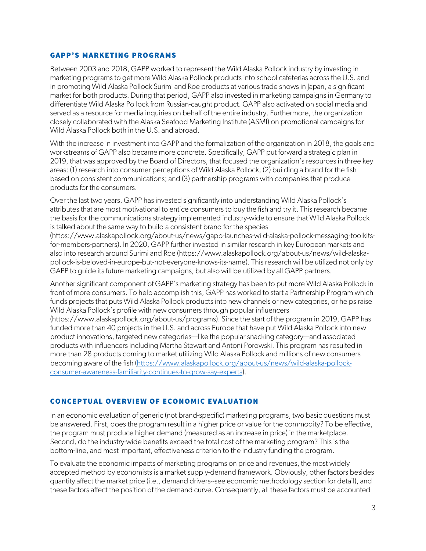### GAPP'S MARKETING PROGRAMS

Between 2003 and 2018, GAPP worked to represent the Wild Alaska Pollock industry by investing in marketing programs to get more Wild Alaska Pollock products into school cafeterias across the U.S. and in promoting Wild Alaska Pollock Surimi and Roe products at various trade shows in Japan, a significant market for both products. During that period, GAPP also invested in marketing campaigns in Germany to differentiate Wild Alaska Pollock from Russian-caught product. GAPP also activated on social media and served as a resource for media inquiries on behalf of the entire industry. Furthermore, the organization closely collaborated with the Alaska Seafood Marketing Institute (ASMI) on promotional campaigns for Wild Alaska Pollock both in the U.S. and abroad.

With the increase in investment into GAPP and the formalization of the organization in 2018, the goals and workstreams of GAPP also became more concrete. Specifically, GAPP put forward a strategic plan in 2019, that was approved by the Board of Directors, that focused the organization's resources in three key areas: (1) research into consumer perceptions of Wild Alaska Pollock; (2) building a brand for the fish based on consistent communications; and (3) partnership programs with companies that produce products for the consumers.

Over the last two years, GAPP has invested significantly into understanding Wild Alaska Pollock's attributes that are most motivational to entice consumers to buy the fish and try it. This research became the basis for the communications strategy implemented industry-wide to ensure that Wild Alaska Pollock is talked about the same way to build a consistent brand for the species

(https://www.alaskapollock.org/about-us/news/gapp-launches-wild-alaska-pollock-messaging-toolkitsfor-members-partners). In 2020, GAPP further invested in similar research in key European markets and also into research around Surimi and Roe (https://www.alaskapollock.org/about-us/news/wild-alaskapollock-is-beloved-in-europe-but-not-everyone-knows-its-name). This research will be utilized not only by GAPP to guide its future marketing campaigns, but also will be utilized by all GAPP partners.

Another significant component of GAPP's marketing strategy has been to put more Wild Alaska Pollock in front of more consumers. To help accomplish this, GAPP has worked to start a Partnership Program which funds projects that puts Wild Alaska Pollock products into new channels or new categories, or helps raise Wild Alaska Pollock's profile with new consumers through popular influencers

(https://www.alaskapollock.org/about-us/programs). Since the start of the program in 2019, GAPP has funded more than 40 projects in the U.S. and across Europe that have put Wild Alaska Pollock into new product innovations, targeted new categories—like the popular snacking category—and associated products with influencers including Martha Stewart and Antoni Porowski. This program has resulted in more than 28 products coming to market utilizing Wild Alaska Pollock and millions of new consumers becoming aware of the fish [\(https://www.alaskapollock.org/about-us/news/wild-alaska-pollock](https://www.alaskapollock.org/about-us/news/wild-alaska-pollock-consumer-awareness-familiarity-continues-to-grow-say-experts)[consumer-awareness-familiarity-continues-to-grow-say-experts\)](https://www.alaskapollock.org/about-us/news/wild-alaska-pollock-consumer-awareness-familiarity-continues-to-grow-say-experts).

# CONCEPTUAL OVERVIEW OF ECONOMIC EVALUATION

In an economic evaluation of generic (not brand-specific) marketing programs, two basic questions must be answered. First, does the program result in a higher price or value for the commodity? To be effective, the program must produce higher demand (measured as an increase in price) in the marketplace. Second, do the industry-wide benefits exceed the total cost of the marketing program? This is the bottom-line, and most important, effectiveness criterion to the industry funding the program.

To evaluate the economic impacts of marketing programs on price and revenues, the most widely accepted method by economists is a market supply-demand framework. Obviously, other factors besides quantity affect the market price (i.e., demand drivers--see economic methodology section for detail), and these factors affect the position of the demand curve. Consequently, all these factors must be accounted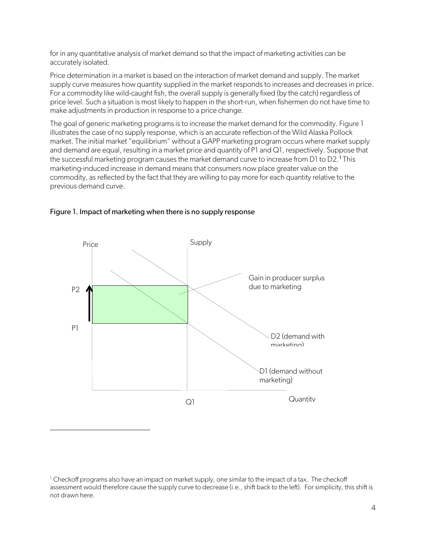for in any quantitative analysis of market demand so that the impact of marketing activities can be accurately isolated.

Price determination in a market is based on the interaction of market demand and supply. The market supply curve measures how quantity supplied in the market responds to increases and decreases in price. For a commodity like wild-caught fish, the overall supply is generally fixed (by the catch) regardless of price level. Such a situation is most likely to happen in the short-run, when fishermen do not have time to make adjustments in production in response to a price change.

The goal of generic marketing programs is to increase the market demand for the commodity. Figure 1 illustrates the case of no supply response, which is an accurate reflection of the Wild Alaska Pollock market. The initial market "equilibrium" without a GAPP marketing program occurs where market supply and demand are equal, resulting in a market price and quantity of P1 and Q1, respectively. Suppose that the successful marketing program causes the market demand curve to increase from D[1](#page-4-0) to  $D2.1$  This marketing-induced increase in demand means that consumers now place greater value on the commodity, as reflected by the fact that they are willing to pay more for each quantity relative to the previous demand curve.



# Figure 1. Impact of marketing when there is no supply response

<span id="page-4-0"></span><sup>&</sup>lt;sup>1</sup> Checkoff programs also have an impact on market supply, one similar to the impact of a tax. The checkoff assessment would therefore cause the supply curve to decrease (i.e., shift back to the left). For simplicity, this shift is not drawn here.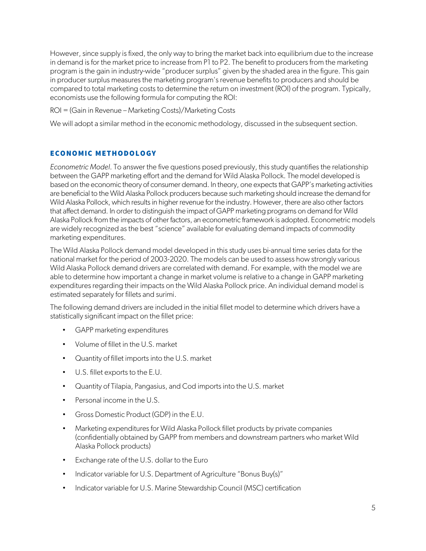However, since supply is fixed, the only way to bring the market back into equilibrium due to the increase in demand is for the market price to increase from P1 to P2. The benefit to producers from the marketing program is the gain in industry-wide "producer surplus" given by the shaded area in the figure. This gain in producer surplus measures the marketing program's revenue benefits to producers and should be compared to total marketing costs to determine the return on investment (ROI) of the program. Typically, economists use the following formula for computing the ROI:

### ROI = (Gain in Revenue – Marketing Costs)/Marketing Costs

We will adopt a similar method in the economic methodology, discussed in the subsequent section.

# ECONOMIC METHODOLOGY

*Econometric Model*. To answer the five questions posed previously, this study quantifies the relationship between the GAPP marketing effort and the demand for Wild Alaska Pollock. The model developed is based on the economic theory of consumer demand. In theory, one expects that GAPP's marketing activities are beneficial to the Wild Alaska Pollock producers because such marketing should increase the demand for Wild Alaska Pollock, which results in higher revenue for the industry. However, there are also other factors that affect demand. In order to distinguish the impact of GAPP marketing programs on demand for Wild Alaska Pollock from the impacts of other factors, an econometric framework is adopted. Econometric models are widely recognized as the best "science" available for evaluating demand impacts of commodity marketing expenditures.

The Wild Alaska Pollock demand model developed in this study uses bi-annual time series data for the national market for the period of 2003-2020. The models can be used to assess how strongly various Wild Alaska Pollock demand drivers are correlated with demand. For example, with the model we are able to determine how important a change in market volume is relative to a change in GAPP marketing expenditures regarding their impacts on the Wild Alaska Pollock price. An individual demand model is estimated separately for fillets and surimi.

The following demand drivers are included in the initial fillet model to determine which drivers have a statistically significant impact on the fillet price:

- GAPP marketing expenditures
- Volume of fillet in the U.S. market
- Quantity of fillet imports into the U.S. market
- U.S. fillet exports to the E.U.
- Quantity of Tilapia, Pangasius, and Cod imports into the U.S. market
- Personal income in the U.S.
- Gross Domestic Product (GDP) in the E.U.
- Marketing expenditures for Wild Alaska Pollock fillet products by private companies (confidentially obtained by GAPP from members and downstream partners who market Wild Alaska Pollock products)
- Exchange rate of the U.S. dollar to the Euro
- Indicator variable for U.S. Department of Agriculture "Bonus Buy(s)"
- Indicator variable for U.S. Marine Stewardship Council (MSC) certification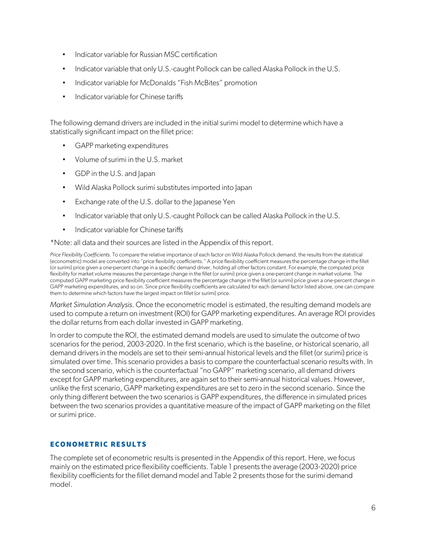- Indicator variable for Russian MSC certification
- Indicator variable that only U.S.-caught Pollock can be called Alaska Pollock in the U.S.
- Indicator variable for McDonalds "Fish McBites" promotion
- Indicator variable for Chinese tariffs

The following demand drivers are included in the initial surimi model to determine which have a statistically significant impact on the fillet price:

- GAPP marketing expenditures
- Volume of surimi in the U.S. market
- GDP in the U.S. and Japan
- Wild Alaska Pollock surimi substitutes imported into Japan
- Exchange rate of the U.S. dollar to the Japanese Yen
- Indicator variable that only U.S.-caught Pollock can be called Alaska Pollock in the U.S.
- Indicator variable for Chinese tariffs

\*Note: all data and their sources are listed in the Appendix of this report.

*Price Flexibility Coefficients.* To compare the relative importance of each factor on Wild Alaska Pollock demand, the results from the statistical (econometric) model are converted into "price flexibility coefficients." A price flexibility coefficient measures the percentage change in the fillet (or surimi) price given a one-percent change in a specific demand driver, holding all other factors constant. For example, the computed price flexibility for market volume measures the percentage change in the fillet (or surimi) price given a one-percent change in market volume. The computed GAPP marketing price flexibility coefficient measures the percentage change in the fillet (or surimi) price given a one-percent change in GAPP marketing expenditures, and so on. Since price flexibility coefficients are calculated for each demand factor listed above, one can compare them to determine which factors have the largest impact on fillet (or surimi) price.

*Market Simulation Analysis.* Once the econometric model is estimated, the resulting demand models are used to compute a return on investment (ROI) for GAPP marketing expenditures. An average ROI provides the dollar returns from each dollar invested in GAPP marketing.

In order to compute the ROI, the estimated demand models are used to simulate the outcome of two scenarios for the period, 2003-2020. In the first scenario, which is the baseline, or historical scenario, all demand drivers in the models are set to their semi-annual historical levels and the fillet (or surimi) price is simulated over time. This scenario provides a basis to compare the counterfactual scenario results with. In the second scenario, which is the counterfactual "no GAPP" marketing scenario, all demand drivers except for GAPP marketing expenditures, are again set to their semi-annual historical values. However, unlike the first scenario, GAPP marketing expenditures are set to zero in the second scenario. Since the only thing different between the two scenarios is GAPP expenditures, the difference in simulated prices between the two scenarios provides a quantitative measure of the impact of GAPP marketing on the fillet or surimi price.

# ECONOMETRIC RESULTS

The complete set of econometric results is presented in the Appendix of this report. Here, we focus mainly on the estimated price flexibility coefficients. Table 1 presents the average (2003-2020) price flexibility coefficients for the fillet demand model and Table 2 presents those for the surimi demand model.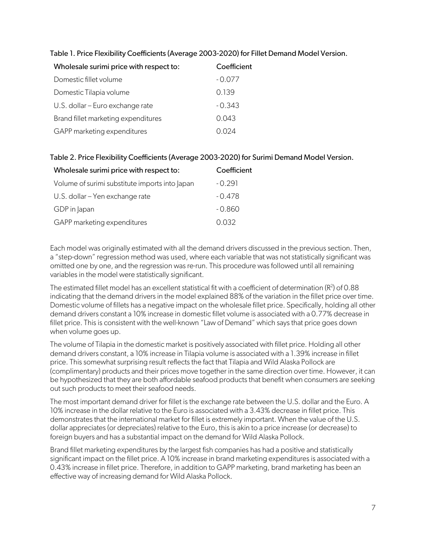| Wholesale surimi price with respect to: | Coefficient |  |  |
|-----------------------------------------|-------------|--|--|
| Domestic fillet volume                  | $-0.077$    |  |  |
| Domestic Tilapia volume                 | 0.139       |  |  |
| U.S. dollar - Euro exchange rate        | $-0.343$    |  |  |
| Brand fillet marketing expenditures     | 0.043       |  |  |
| GAPP marketing expenditures             | (1(1)24)    |  |  |

# Table 1. Price Flexibility Coefficients (Average 2003-2020) for Fillet Demand Model Version.

# Table 2. Price Flexibility Coefficients (Average 2003-2020) for Surimi Demand Model Version.

| Wholesale surimi price with respect to:        | Coefficient |
|------------------------------------------------|-------------|
| Volume of surimi substitute imports into Japan | $-0.291$    |
| U.S. dollar – Yen exchange rate                | $-0.478$    |
| GDP in Japan                                   | -0.860      |
| GAPP marketing expenditures                    | 0.032       |

Each model was originally estimated with all the demand drivers discussed in the previous section. Then, a "step-down" regression method was used, where each variable that was not statistically significant was omitted one by one, and the regression was re-run. This procedure was followed until all remaining variables in the model were statistically significant.

The estimated fillet model has an excellent statistical fit with a coefficient of determination ( $R^2$ ) of 0.88 indicating that the demand drivers in the model explained 88% of the variation in the fillet price over time. Domestic volume of fillets has a negative impact on the wholesale fillet price. Specifically, holding all other demand drivers constant a 10% increase in domestic fillet volume is associated with a 0.77% decrease in fillet price. This is consistent with the well-known "Law of Demand" which says that price goes down when volume goes up.

The volume of Tilapia in the domestic market is positively associated with fillet price. Holding all other demand drivers constant, a 10% increase in Tilapia volume is associated with a 1.39% increase in fillet price. This somewhat surprising result reflects the fact that Tilapia and Wild Alaska Pollock are (complimentary) products and their prices move together in the same direction over time. However, it can be hypothesized that they are both affordable seafood products that benefit when consumers are seeking out such products to meet their seafood needs.

The most important demand driver for fillet is the exchange rate between the U.S. dollar and the Euro. A 10% increase in the dollar relative to the Euro is associated with a 3.43% decrease in fillet price. This demonstrates that the international market for fillet is extremely important. When the value of the U.S. dollar appreciates (or depreciates) relative to the Euro, this is akin to a price increase (or decrease) to foreign buyers and has a substantial impact on the demand for Wild Alaska Pollock.

Brand fillet marketing expenditures by the largest fish companies has had a positive and statistically significant impact on the fillet price. A 10% increase in brand marketing expenditures is associated with a 0.43% increase in fillet price. Therefore, in addition to GAPP marketing, brand marketing has been an effective way of increasing demand for Wild Alaska Pollock.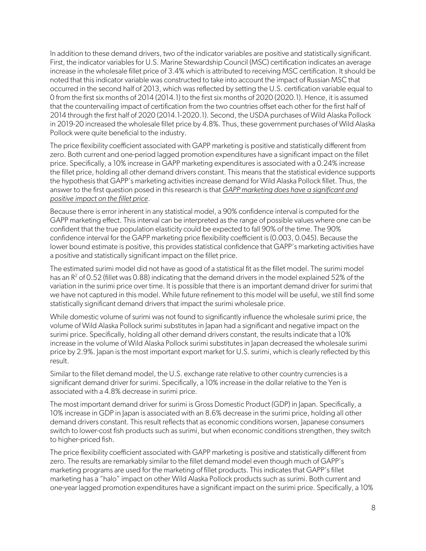In addition to these demand drivers, two of the indicator variables are positive and statistically significant. First, the indicator variables for U.S. Marine Stewardship Council (MSC) certification indicates an average increase in the wholesale fillet price of 3.4% which is attributed to receiving MSC certification. It should be noted that this indicator variable was constructed to take into account the impact of Russian MSC that occurred in the second half of 2013, which was reflected by setting the U.S. certification variable equal to 0 from the first six months of 2014 (2014.1) to the first six months of 2020 (2020.1). Hence, it is assumed that the countervailing impact of certification from the two countries offset each other for the first half of 2014 through the first half of 2020 (2014.1-2020.1). Second, the USDA purchases of Wild Alaska Pollock in 2019-20 increased the wholesale fillet price by 4.8%. Thus, these government purchases of Wild Alaska Pollock were quite beneficial to the industry.

The price flexibility coefficient associated with GAPP marketing is positive and statistically different from zero. Both current and one-period lagged promotion expenditures have a significant impact on the fillet price. Specifically, a 10% increase in GAPP marketing expenditures is associated with a 0.24% increase the fillet price, holding all other demand drivers constant. This means that the statistical evidence supports the hypothesis that GAPP's marketing activities increase demand for Wild Alaska Pollock fillet. Thus, the answer to the first question posed in this research is that *GAPP marketing does have a significant and positive impact on the fillet price*.

Because there is error inherent in any statistical model, a 90% confidence interval is computed for the GAPP marketing effect. This interval can be interpreted as the range of possible values where one can be confident that the true population elasticity could be expected to fall 90% of the time. The 90% confidence interval for the GAPP marketing price flexibility coefficient is (0.003, 0.045). Because the lower bound estimate is positive, this provides statistical confidence that GAPP's marketing activities have a positive and statistically significant impact on the fillet price.

The estimated surimi model did not have as good of a statistical fit as the fillet model. The surimi model has an  $R^2$  of 0.52 (fillet was 0.88) indicating that the demand drivers in the model explained 52% of the variation in the surimi price over time. It is possible that there is an important demand driver for surimi that we have not captured in this model. While future refinement to this model will be useful, we still find some statistically significant demand drivers that impact the surimi wholesale price.

While domestic volume of surimi was not found to significantly influence the wholesale surimi price, the volume of Wild Alaska Pollock surimi substitutes in Japan had a significant and negative impact on the surimi price. Specifically, holding all other demand drivers constant, the results indicate that a 10% increase in the volume of Wild Alaska Pollock surimi substitutes in Japan decreased the wholesale surimi price by 2.9%. Japan is the most important export market for U.S. surimi, which is clearly reflected by this result.

Similar to the fillet demand model, the U.S. exchange rate relative to other country currencies is a significant demand driver for surimi. Specifically, a 10% increase in the dollar relative to the Yen is associated with a 4.8% decrease in surimi price.

The most important demand driver for surimi is Gross Domestic Product (GDP) in Japan. Specifically, a 10% increase in GDP in Japan is associated with an 8.6% decrease in the surimi price, holding all other demand drivers constant. This result reflects that as economic conditions worsen, Japanese consumers switch to lower-cost fish products such as surimi, but when economic conditions strengthen, they switch to higher-priced fish.

The price flexibility coefficient associated with GAPP marketing is positive and statistically different from zero. The results are remarkably similar to the fillet demand model even though much of GAPP's marketing programs are used for the marketing of fillet products. This indicates that GAPP's fillet marketing has a "halo" impact on other Wild Alaska Pollock products such as surimi. Both current and one-year lagged promotion expenditures have a significant impact on the surimi price. Specifically, a 10%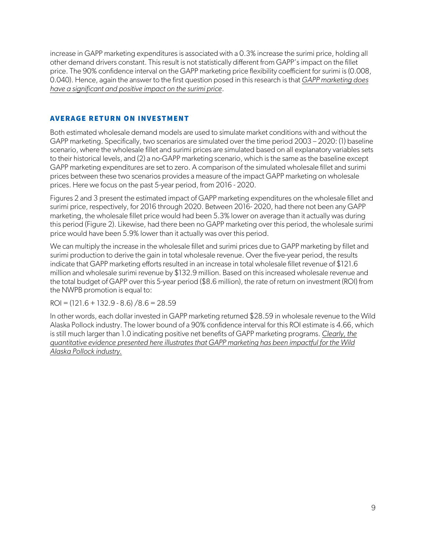increase in GAPP marketing expenditures is associated with a 0.3% increase the surimi price, holding all other demand drivers constant. This result is not statistically different from GAPP's impact on the fillet price. The 90% confidence interval on the GAPP marketing price flexibility coefficient for surimi is (0.008, 0.040). Hence, again the answer to the first question posed in this research is that *GAPP marketing does have a significant and positive impact on the surimi price*.

# AVERAGE RETURN ON INVESTMENT

Both estimated wholesale demand models are used to simulate market conditions with and without the GAPP marketing. Specifically, two scenarios are simulated over the time period 2003 – 2020: (1) baseline scenario, where the wholesale fillet and surimi prices are simulated based on all explanatory variables sets to their historical levels, and (2) a no-GAPP marketing scenario, which is the same as the baseline except GAPP marketing expenditures are set to zero. A comparison of the simulated wholesale fillet and surimi prices between these two scenarios provides a measure of the impact GAPP marketing on wholesale prices. Here we focus on the past 5-year period, from 2016 - 2020.

Figures 2 and 3 present the estimated impact of GAPP marketing expenditures on the wholesale fillet and surimi price, respectively, for 2016 through 2020. Between 2016- 2020, had there not been any GAPP marketing, the wholesale fillet price would had been 5.3% lower on average than it actually was during this period (Figure 2). Likewise, had there been no GAPP marketing over this period, the wholesale surimi price would have been 5.9% lower than it actually was over this period.

We can multiply the increase in the wholesale fillet and surimi prices due to GAPP marketing by fillet and surimi production to derive the gain in total wholesale revenue. Over the five-year period, the results indicate that GAPP marketing efforts resulted in an increase in total wholesale fillet revenue of \$121.6 million and wholesale surimi revenue by \$132.9 million. Based on this increased wholesale revenue and the total budget of GAPP over this 5-year period (\$8.6 million), the rate of return on investment (ROI) from the NWPB promotion is equal to:

 $ROI = (121.6 + 132.9 - 8.6) / 8.6 = 28.59$ 

In other words, each dollar invested in GAPP marketing returned \$28.59 in wholesale revenue to the Wild Alaska Pollock industry. The lower bound of a 90% confidence interval for this ROI estimate is 4.66, which is still much larger than 1.0 indicating positive net benefits of GAPP marketing programs. *Clearly, the quantitative evidence presented here illustrates that GAPP marketing has been impactful for the Wild Alaska Pollock industry.*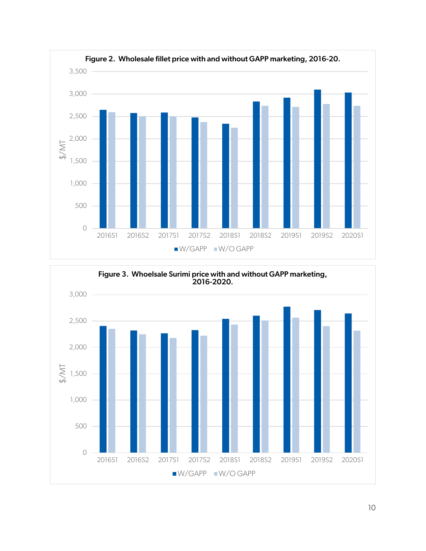

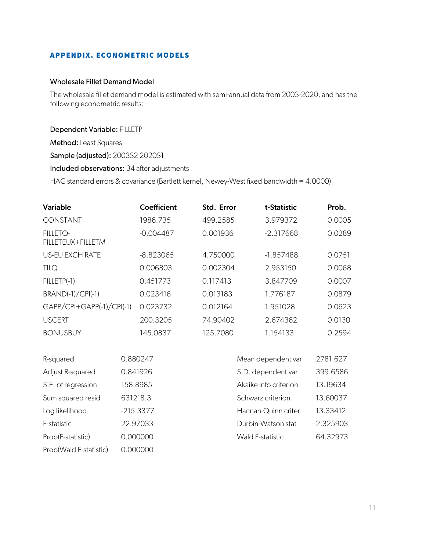# APPENDIX. ECONOMETRIC MODELS

### Wholesale Fillet Demand Model

The wholesale fillet demand model is estimated with semi-annual data from 2003-2020, and has the following econometric results:

### Dependent Variable: FILLETP

Method: Least Squares

Sample (adjusted): 2003S2 2020S1

### Included observations: 34 after adjustments

HAC standard errors & covariance (Bartlett kernel, Newey-West fixed bandwidth = 4.0000)

| Variable                             | Coefficient | Std. Error | t-Statistic | Prob.  |
|--------------------------------------|-------------|------------|-------------|--------|
| <b>CONSTANT</b>                      | 1986.735    | 499.2585   | 3.979372    | 0.0005 |
| <b>FILLETQ-</b><br>FILLETEUX+FILLETM | $-0.004487$ | 0.001936   | $-2.317668$ | 0.0289 |
| <b>US-EU EXCH RATE</b>               | $-8.823065$ | 4.750000   | $-1.857488$ | 0.0751 |
| <b>TILQ</b>                          | 0.006803    | 0.002304   | 2.953150    | 0.0068 |
| FILLETP(-1)                          | 0.451773    | 0.117413   | 3.847709    | 0.0007 |
| BRAND(-1)/CPI(-1)                    | 0.023416    | 0.013183   | 1.776187    | 0.0879 |
| GAPP/CPI+GAPP(-1)/CPI(-1)            | 0.023732    | 0.012164   | 1.951028    | 0.0623 |
| <b>USCERT</b>                        | 200.3205    | 74.90402   | 2.674362    | 0.0130 |
| <b>BONUSBUY</b>                      | 145.0837    | 125.7080   | 1.154133    | 0.2594 |

| R-squared              | 0.880247    | Mean dependent var    | 2781.627 |
|------------------------|-------------|-----------------------|----------|
| Adjust R-squared       | 0.841926    | S.D. dependent var    | 399.6586 |
| S.E. of regression     | 158.8985    | Akaike info criterion | 13.19634 |
| Sum squared resid      | 631218.3    | Schwarz criterion     | 13.60037 |
| Log likelihood         | $-215.3377$ | Hannan-Quinn criter   | 13.33412 |
| F-statistic            | 22.97033    | Durbin-Watson stat    | 2.325903 |
| Prob(F-statistic)      | 0.000000    | Wald F-statistic      | 64.32973 |
| Prob(Wald F-statistic) | 0.000000    |                       |          |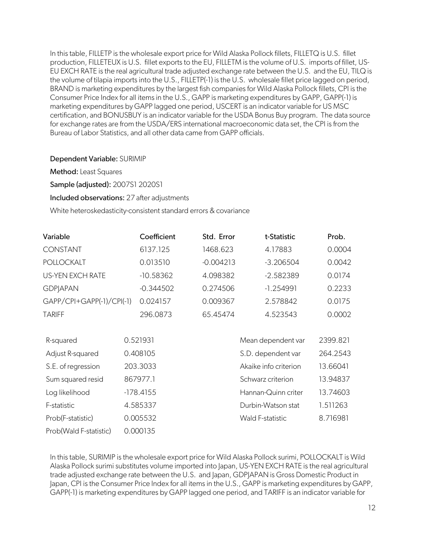In this table, FILLETP is the wholesale export price for Wild Alaska Pollock fillets, FILLETQ is U.S. fillet production, FILLETEUX is U.S. fillet exports to the EU, FILLETM is the volume of U.S. imports of fillet, US-EU EXCH RATE is the real agricultural trade adjusted exchange rate between the U.S. and the EU, TILQ is the volume of tilapia imports into the U.S., FILLETP(-1) is the U.S. wholesale fillet price lagged on period, BRAND is marketing expenditures by the largest fish companies for Wild Alaska Pollock fillets, CPI is the Consumer Price Index for all items in the U.S., GAPP is marketing expenditures by GAPP, GAPP(-1) is marketing expenditures by GAPP lagged one period, USCERT is an indicator variable for US MSC certification, and BONUSBUY is an indicator variable for the USDA Bonus Buy program. The data source for exchange rates are from the USDA/ERS international macroeconomic data set, the CPI is from the Bureau of Labor Statistics, and all other data came from GAPP officials.

# Dependent Variable: SURIMIP

Method: Least Squares

Sample (adjusted): 2007S1 2020S1

Included observations: 27 after adjustments

White heteroskedasticity-consistent standard errors & covariance

| Variable                  |             | Coefficient | Std. Error  | t-Statistic           |  | Prob.    |
|---------------------------|-------------|-------------|-------------|-----------------------|--|----------|
| <b>CONSTANT</b>           |             | 6137.125    | 1468.623    | 4.17883               |  | 0.0004   |
| <b>POLLOCKALT</b>         |             | 0.013510    | $-0.004213$ | $-3.206504$           |  | 0.0042   |
| <b>US-YEN EXCH RATE</b>   |             | $-10.58362$ | 4.098382    | $-2.582389$           |  | 0.0174   |
| <b>GDPJAPAN</b>           |             | $-0.344502$ | 0.274506    | $-1.254991$           |  | 0.2233   |
| GAPP/CPI+GAPP(-1)/CPI(-1) |             | 0.024157    | 0.009367    | 2.578842              |  | 0.0175   |
| <b>TARIFF</b>             |             | 296.0873    | 65.45474    | 4.523543              |  | 0.0002   |
|                           |             |             |             |                       |  |          |
| R-squared                 |             | 0.521931    |             | Mean dependent var    |  | 2399.821 |
| Adjust R-squared          |             | 0.408105    |             | S.D. dependent var    |  | 264.2543 |
| S.E. of regression        |             | 203.3033    |             | Akaike info criterion |  | 13.66041 |
| Sum squared resid         |             | 867977.1    |             | Schwarz criterion     |  | 13.94837 |
| Log likelihood            | $-178.4155$ |             |             | Hannan-Quinn criter   |  | 13.74603 |
| F-statistic               |             | 4.585337    |             | Durbin-Watson stat    |  | 1.511263 |
| Prob(F-statistic)         |             | 0.005532    |             | Wald F-statistic      |  | 8.716981 |
| Prob(Wald F-statistic)    |             | 0.000135    |             |                       |  |          |

In this table, SURIMIP is the wholesale export price for Wild Alaska Pollock surimi, POLLOCKALT is Wild Alaska Pollock surimi substitutes volume imported into Japan, US-YEN EXCH RATE is the real agricultural trade adjusted exchange rate between the U.S. and Japan, GDPJAPAN is Gross Domestic Product in Japan, CPI is the Consumer Price Index for all items in the U.S., GAPP is marketing expenditures by GAPP, GAPP(-1) is marketing expenditures by GAPP lagged one period, and TARIFF is an indicator variable for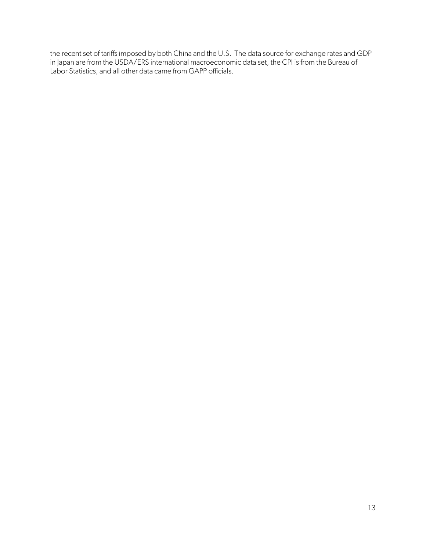the recent set of tariffs imposed by both China and the U.S. The data source for exchange rates and GDP in Japan are from the USDA/ERS international macroeconomic data set, the CPI is from the Bureau of Labor Statistics, and all other data came from GAPP officials.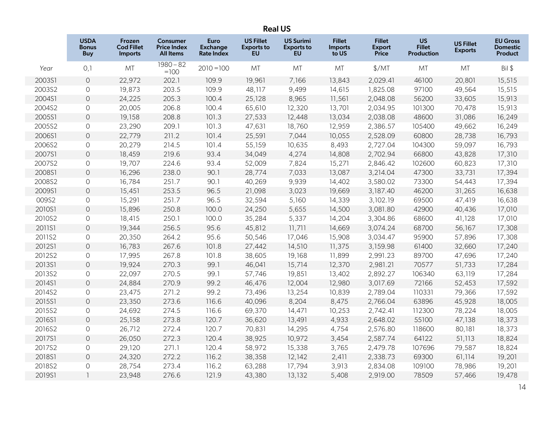# Real US

|        | <b>USDA</b><br><b>Bonus</b><br><b>Buy</b> | Frozen<br><b>Cod Fillet</b><br><b>Imports</b> | <b>Consumer</b><br><b>Price Index</b><br><b>All Items</b> | Euro<br><b>Exchange</b><br><b>Rate Index</b> | <b>US Fillet</b><br><b>Exports to</b><br><b>EU</b> | <b>US Surimi</b><br><b>Exports to</b><br><b>EU</b> | <b>Fillet</b><br><b>Imports</b><br>to US | <b>Fillet</b><br>Export<br><b>Price</b> | <b>US</b><br><b>Fillet</b><br>Production | <b>US Fillet</b><br><b>Exports</b> | <b>EU Gross</b><br><b>Domestic</b><br><b>Product</b> |
|--------|-------------------------------------------|-----------------------------------------------|-----------------------------------------------------------|----------------------------------------------|----------------------------------------------------|----------------------------------------------------|------------------------------------------|-----------------------------------------|------------------------------------------|------------------------------------|------------------------------------------------------|
| Year   | 0,1                                       | MT                                            | $1980 - 82$<br>$=100$                                     | $2010 = 100$                                 | MT                                                 | MT                                                 | MT                                       | \$/MT                                   | MT                                       | MT                                 | Bil \$                                               |
| 2003S1 | $\circ$                                   | 22,972                                        | 202.1                                                     | 109.9                                        | 19,961                                             | 7,166                                              | 13,843                                   | 2,029.41                                | 46100                                    | 20,801                             | 15,515                                               |
| 2003S2 | $\circ$                                   | 19,873                                        | 203.5                                                     | 109.9                                        | 48,117                                             | 9,499                                              | 14,615                                   | 1,825.08                                | 97100                                    | 49,564                             | 15,515                                               |
| 2004S1 | $\circ$                                   | 24,225                                        | 205.3                                                     | 100.4                                        | 25,128                                             | 8,965                                              | 11,561                                   | 2,048.08                                | 56200                                    | 33,605                             | 15,913                                               |
| 2004S2 | $\circ$                                   | 20,005                                        | 206.8                                                     | 100.4                                        | 65,610                                             | 12,320                                             | 13,701                                   | 2,034.95                                | 101300                                   | 70,478                             | 15,913                                               |
| 2005S1 | $\circ$                                   | 19,158                                        | 208.8                                                     | 101.3                                        | 27,533                                             | 12,448                                             | 13,034                                   | 2,038.08                                | 48600                                    | 31,086                             | 16,249                                               |
| 2005S2 | $\circ$                                   | 23,290                                        | 209.1                                                     | 101.3                                        | 47,631                                             | 18,760                                             | 12,959                                   | 2,386.57                                | 105400                                   | 49,662                             | 16,249                                               |
| 2006S1 | $\circ$                                   | 22,779                                        | 211.2                                                     | 101.4                                        | 25,591                                             | 7,044                                              | 10,055                                   | 2,528.09                                | 60800                                    | 28,738                             | 16,793                                               |
| 2006S2 | $\circ$                                   | 20,279                                        | 214.5                                                     | 101.4                                        | 55,159                                             | 10,635                                             | 8,493                                    | 2,727.04                                | 104300                                   | 59,097                             | 16,793                                               |
| 2007S1 | $\circ$                                   | 18,459                                        | 219.6                                                     | 93.4                                         | 34,049                                             | 4,274                                              | 14,808                                   | 2,702.94                                | 66800                                    | 43,828                             | 17,310                                               |
| 2007S2 | $\circ$                                   | 19,707                                        | 224.6                                                     | 93.4                                         | 52,009                                             | 7,824                                              | 15,271                                   | 2,846.42                                | 102600                                   | 60,823                             | 17,310                                               |
| 2008S1 | $\circ$                                   | 16,296                                        | 238.0                                                     | 90.1                                         | 28,774                                             | 7,033                                              | 13,087                                   | 3,214.04                                | 47300                                    | 33,731                             | 17,394                                               |
| 2008S2 | $\circ$                                   | 16,784                                        | 251.7                                                     | 90.1                                         | 40,269                                             | 9,939                                              | 14,402                                   | 3,580.02                                | 73300                                    | 54,443                             | 17,394                                               |
| 2009S1 | $\circ$                                   | 15,451                                        | 253.5                                                     | 96.5                                         | 21,098                                             | 3,023                                              | 19,669                                   | 3,187.40                                | 46200                                    | 31,265                             | 16,638                                               |
| 009S2  | $\circ$                                   | 15,291                                        | 251.7                                                     | 96.5                                         | 32,594                                             | 5,160                                              | 14,339                                   | 3,102.19                                | 69500                                    | 47,419                             | 16,638                                               |
| 2010S1 | $\circ$                                   | 15,896                                        | 250.8                                                     | 100.0                                        | 24,250                                             | 5,655                                              | 14,500                                   | 3,081.80                                | 42900                                    | 40,436                             | 17,010                                               |
| 2010S2 | $\circ$                                   | 18,415                                        | 250.1                                                     | 100.0                                        | 35,284                                             | 5,337                                              | 14,204                                   | 3,304.86                                | 68600                                    | 41,128                             | 17,010                                               |
| 2011S1 | $\circ$                                   | 19,344                                        | 256.5                                                     | 95.6                                         | 45,812                                             | 11,711                                             | 14,669                                   | 3,074.24                                | 68700                                    | 56,167                             | 17,308                                               |
| 2011S2 | $\mathsf O$                               | 20,350                                        | 264.2                                                     | 95.6                                         | 50,546                                             | 17,046                                             | 15,908                                   | 3,034.47                                | 95900                                    | 57,896                             | 17,308                                               |
| 2012S1 | $\circ$                                   | 16,783                                        | 267.6                                                     | 101.8                                        | 27,442                                             | 14,510                                             | 11,375                                   | 3,159.98                                | 61400                                    | 32,660                             | 17,240                                               |
| 2012S2 | $\circ$                                   | 17,995                                        | 267.8                                                     | 101.8                                        | 38,605                                             | 19,168                                             | 11,899                                   | 2,991.23                                | 89700                                    | 47,696                             | 17,240                                               |
| 2013S1 | $\circ$                                   | 19,924                                        | 270.3                                                     | 99.1                                         | 46,041                                             | 15,714                                             | 12,370                                   | 2,981.21                                | 70577                                    | 51,733                             | 17,284                                               |
| 2013S2 | $\circ$                                   | 22,097                                        | 270.5                                                     | 99.1                                         | 57,746                                             | 19,851                                             | 13,402                                   | 2,892.27                                | 106340                                   | 63,119                             | 17,284                                               |
| 2014S1 | $\circ$                                   | 24,884                                        | 270.9                                                     | 99.2                                         | 46,476                                             | 12,004                                             | 12,980                                   | 3,017.69                                | 72166                                    | 52,453                             | 17,592                                               |
| 2014S2 | $\circ$                                   | 23,475                                        | 271.2                                                     | 99.2                                         | 73,496                                             | 13,254                                             | 10,839                                   | 2,789.04                                | 110331                                   | 79,366                             | 17,592                                               |
| 2015S1 | $\circ$                                   | 23,350                                        | 273.6                                                     | 116.6                                        | 40,096                                             | 8,204                                              | 8,475                                    | 2,766.04                                | 63896                                    | 45,928                             | 18,005                                               |
| 2015S2 | $\circ$                                   | 24,692                                        | 274.5                                                     | 116.6                                        | 69,370                                             | 14,471                                             | 10,253                                   | 2,742.41                                | 112300                                   | 78,224                             | 18,005                                               |
| 2016S1 | $\circ$                                   | 25,158                                        | 273.8                                                     | 120.7                                        | 36,620                                             | 13,491                                             | 4,933                                    | 2,648.02                                | 55100                                    | 47,138                             | 18,373                                               |
| 2016S2 | $\circ$                                   | 26,712                                        | 272.4                                                     | 120.7                                        | 70,831                                             | 14,295                                             | 4,754                                    | 2,576.80                                | 118600                                   | 80,181                             | 18,373                                               |
| 2017S1 | $\circ$                                   | 26,050                                        | 272.3                                                     | 120.4                                        | 38,925                                             | 10,972                                             | 3,454                                    | 2,587.74                                | 64122                                    | 51,113                             | 18,824                                               |
| 2017S2 | $\circ$                                   | 29,120                                        | 271.1                                                     | 120.4                                        | 58,972                                             | 15,338                                             | 3,765                                    | 2,479.78                                | 107696                                   | 79,587                             | 18,824                                               |
| 2018S1 | $\overline{O}$                            | 24,320                                        | 272.2                                                     | 116.2                                        | 38,358                                             | 12,142                                             | 2,411                                    | 2,338.73                                | 69300                                    | 61,114                             | 19,201                                               |
| 2018S2 | $\circ$                                   | 28,754                                        | 273.4                                                     | 116.2                                        | 63,288                                             | 17,794                                             | 3,913                                    | 2,834.08                                | 109100                                   | 78,986                             | 19,201                                               |
| 2019S1 | $\overline{1}$                            | 23,948                                        | 276.6                                                     | 121.9                                        | 43,380                                             | 13,132                                             | 5,408                                    | 2,919.00                                | 78509                                    | 57,466                             | 19,478                                               |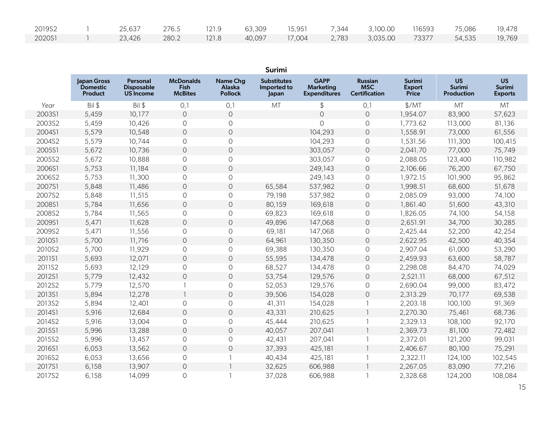| 2019S2 | 25,637 |       |  |  | 276.5 121.9 63,309 15,951 7,344 3,100.00 116593 75,086 19,478 |  |  |
|--------|--------|-------|--|--|---------------------------------------------------------------|--|--|
| 2020S1 | 23,426 | 280.2 |  |  | 121.8 40,097 17,004 2,783 3,035.00 73377 54,535 19,769        |  |  |

|        |                                                  |                                                   |                                                   |                                      | Surimi                                     |                                                        |                                                      |                                                |                                          |                                       |
|--------|--------------------------------------------------|---------------------------------------------------|---------------------------------------------------|--------------------------------------|--------------------------------------------|--------------------------------------------------------|------------------------------------------------------|------------------------------------------------|------------------------------------------|---------------------------------------|
|        | Japan Gross<br><b>Domestic</b><br><b>Product</b> | Personal<br><b>Disposable</b><br><b>US Income</b> | <b>McDonalds</b><br><b>Fish</b><br><b>McBites</b> | Name Chg<br>Alaska<br><b>Pollock</b> | <b>Substitutes</b><br>Imported to<br>Japan | <b>GAPP</b><br><b>Marketing</b><br><b>Expenditures</b> | <b>Russian</b><br><b>MSC</b><br><b>Certification</b> | <b>Surimi</b><br><b>Export</b><br><b>Price</b> | <b>US</b><br>Surimi<br><b>Production</b> | <b>US</b><br>Surimi<br><b>Exports</b> |
| Year   | Bil \$                                           | Bil \$                                            | 0,1                                               | 0,1                                  | MT                                         | \$                                                     | 0,1                                                  | \$/MT                                          | MT                                       | MT                                    |
| 2003S1 | 5,459                                            | 10,177                                            | $\circ$                                           | $\bigcirc$                           |                                            | $\mathsf O$                                            | $\circ$                                              | 1,954.07                                       | 83,900                                   | 57,623                                |
| 2003S2 | 5,459                                            | 10,426                                            | $\circ$                                           | $\circ$                              |                                            | 0                                                      | 0                                                    | 1,773.62                                       | 113,000                                  | 81,136                                |
| 2004S1 | 5,579                                            | 10,548                                            | $\circ$                                           | $\bigcirc$                           |                                            | 104,293                                                | $\bigcirc$                                           | 1,558.91                                       | 73,000                                   | 61,556                                |
| 2004S2 | 5,579                                            | 10,744                                            | $\mathsf O$                                       | $\bigcirc$                           |                                            | 104,293                                                | $\circ$                                              | 1,531.56                                       | 111,300                                  | 100,415                               |
| 2005S1 | 5,672                                            | 10,736                                            | $\mathsf{O}\xspace$                               | $\mathsf O$                          |                                            | 303,057                                                | $\bigcirc$                                           | 2,041.70                                       | 77,000                                   | 75,749                                |
| 2005S2 | 5,672                                            | 10,888                                            | 0                                                 | $\bigcirc$                           |                                            | 303,057                                                | $\circ$                                              | 2,088.05                                       | 123,400                                  | 110,982                               |
| 2006S1 | 5,753                                            | 11,184                                            | $\mathsf{O}\xspace$                               | $\mathsf O$                          |                                            | 249,143                                                | $\circ$                                              | 2,106.66                                       | 76,200                                   | 67,750                                |
| 2006S2 | 5,753                                            | 11,300                                            | 0                                                 | $\circlearrowright$                  |                                            | 249,143                                                | 0                                                    | 1,972.15                                       | 101,900                                  | 95,862                                |
| 2007S1 | 5,848                                            | 11,486                                            | $\circ$                                           | $\bigcirc$                           | 65,584                                     | 537,982                                                | $\circlearrowright$                                  | 1,998.51                                       | 68,600                                   | 51,678                                |
| 2007S2 | 5,848                                            | 11,515                                            | $\mathsf O$                                       | $\mathsf O$                          | 79,198                                     | 537,982                                                | $\circ$                                              | 2,085.09                                       | 93,000                                   | 74,100                                |
| 2008S1 | 5,784                                            | 11,656                                            | $\circ$                                           | $\circ$                              | 80,159                                     | 169,618                                                | $\circ$                                              | 1,861.40                                       | 51,600                                   | 43,310                                |
| 2008S2 | 5,784                                            | 11,565                                            | $\circ$                                           | $\circ$                              | 69,823                                     | 169,618                                                | $\circ$                                              | 1,826.05                                       | 74,100                                   | 54,158                                |
| 2009S1 | 5,471                                            | 11,628                                            | $\circ$                                           | $\circ$                              | 49,896                                     | 147,068                                                | $\circ$                                              | 2,651.91                                       | 34,700                                   | 30,285                                |
| 2009S2 | 5,471                                            | 11,556                                            | $\circ$                                           | $\circ$                              | 69,181                                     | 147,068                                                | $\circ$                                              | 2,425.44                                       | 52,200                                   | 42,254                                |
| 2010S1 | 5,700                                            | 11,716                                            | $\circ$                                           | $\bigcirc$                           | 64,961                                     | 130,350                                                | $\circ$                                              | 2,622.95                                       | 42,500                                   | 40,354                                |
| 2010S2 | 5,700                                            | 11,929                                            | 0                                                 | $\bigcirc$                           | 69,388                                     | 130,350                                                | $\circ$                                              | 2,907.04                                       | 61,000                                   | 53,290                                |
| 2011S1 | 5,693                                            | 12,071                                            | $\circ$                                           | $\bigcirc$                           | 55,595                                     | 134,478                                                | $\circ$                                              | 2,459.93                                       | 63,600                                   | 58,787                                |
| 2011S2 | 5,693                                            | 12,129                                            | 0                                                 | $\circ$                              | 68,527                                     | 134,478                                                | $\circ$                                              | 2,298.08                                       | 84,470                                   | 74,029                                |
| 2012S1 | 5,779                                            | 12,432                                            | $\bigcirc$                                        | $\bigcirc$                           | 53,754                                     | 129,576                                                | $\circ$                                              | 2,521.11                                       | 68,000                                   | 67,512                                |
| 2012S2 | 5,779                                            | 12,570                                            | -1                                                | $\circ$                              | 52,053                                     | 129,576                                                | 0                                                    | 2,690.04                                       | 99,000                                   | 83,472                                |
| 2013S1 | 5,894                                            | 12,278                                            | $\overline{\phantom{a}}$                          | $\bigcirc$                           | 39,506                                     | 154,028                                                | $\circlearrowright$                                  | 2,313.29                                       | 70,177                                   | 69,538                                |
| 2013S2 | 5,894                                            | 12,401                                            | 0                                                 | $\bigcirc$                           | 41,311                                     | 154,028                                                |                                                      | 2,203.18                                       | 100,100                                  | 91,369                                |
| 2014S1 | 5,916                                            | 12,684                                            | $\mathsf{O}\xspace$                               | $\bigcirc$                           | 43,331                                     | 210,625                                                |                                                      | 2,270.30                                       | 75,461                                   | 68,736                                |
| 2014S2 | 5,916                                            | 13,004                                            | 0                                                 | $\bigcirc$                           | 45,444                                     | 210,625                                                |                                                      | 2,329.13                                       | 108,100                                  | 92,170                                |
| 2015S1 | 5,996                                            | 13,288                                            | $\circ$                                           | $\circ$                              | 40,057                                     | 207,041                                                |                                                      | 2,369.73                                       | 81,100                                   | 72,482                                |
| 2015S2 | 5,996                                            | 13,457                                            | $\circ$                                           | $\circlearrowright$                  | 42,431                                     | 207,041                                                |                                                      | 2,372.01                                       | 121,200                                  | 99,031                                |
| 2016S1 | 6,053                                            | 13,562                                            | $\circ$                                           | $\bigcirc$                           | 37,393                                     | 425,181                                                |                                                      | 2,406.67                                       | 80,100                                   | 75,291                                |
| 2016S2 | 6,053                                            | 13,656                                            | 0                                                 |                                      | 40,434                                     | 425,181                                                |                                                      | 2,322.11                                       | 124,100                                  | 102,545                               |
| 2017S1 | 6,158                                            | 13,907                                            | $\mathsf{O}\xspace$                               | $\overline{\phantom{a}}$             | 32,625                                     | 606,988                                                |                                                      | 2,267.05                                       | 83,090                                   | 77,216                                |
| 2017S2 | 6,158                                            | 14,099                                            | $\Omega$                                          | -1                                   | 37,028                                     | 606,988                                                |                                                      | 2,328.68                                       | 124,200                                  | 108,084                               |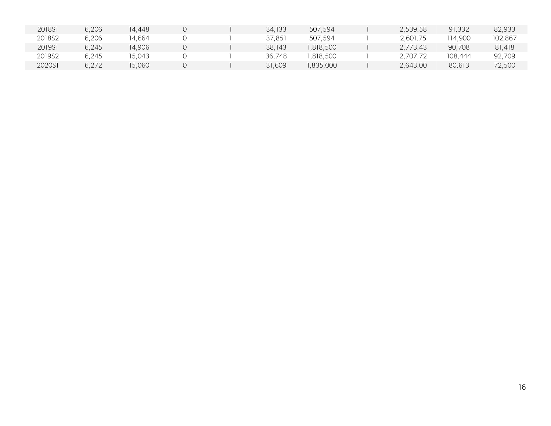| 2018S1 | 6,206 | 14,448 |  | 34,133 | 507,594  | 2,539.58 | 91,332  | 82.933  |
|--------|-------|--------|--|--------|----------|----------|---------|---------|
| 2018S2 | 6,206 | 14.664 |  | 37.851 | 507.594  | 2.601.75 | 14.900  | 102.867 |
| 2019S1 | 6,245 | 14,906 |  | 38,143 | ,818,500 | 2,773.43 | 90,708  | 81.418  |
| 2019S2 | 6,245 | 15.043 |  | 36,748 | ,818,500 | .707.72  | 108.444 | 92,709  |
| 2020S1 | 6,272 | 15,060 |  | 31,609 | ,835,000 | 2,643.00 | 80.613  | 72,500  |